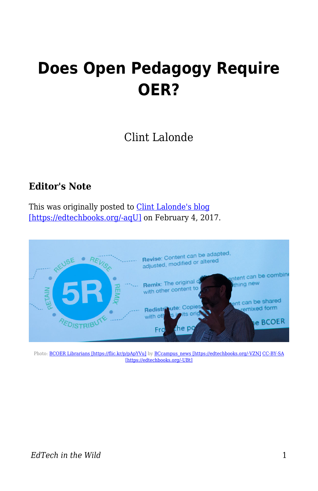## **Does Open Pedagogy Require OER?**

## Clint Lalonde

## **Editor's Note**

This was originally posted to [Clint Lalonde's blog](http://clintlalonde.net/2017/02/04/does-open-pedagogy-require-oer/) [\[https://edtechbooks.org/-aqU\]](http://clintlalonde.net/2017/02/04/does-open-pedagogy-require-oer/) on February 4, 2017.



Photo: [BCOER Librarians \[https://flic.kr/p/pApYVu\]](https://flic.kr/p/pApYVu) by [BCcampus\\_news \[https://edtechbooks.org/-VZN\]](https://www.flickr.com/photos/61642799@N03/) [CC-BY-SA](https://creativecommons.org/licenses/by-sa/2.0/) [\[https://edtechbooks.org/-UBt\]](https://creativecommons.org/licenses/by-sa/2.0/)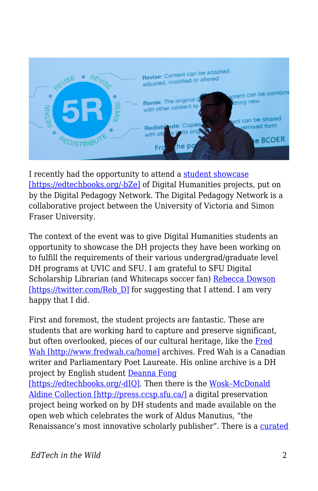

I recently had the opportunity to attend a [student showcase](https://storify.com/KimODonnell/student-digital-showcase) [\[https://edtechbooks.org/-bZe\]](https://storify.com/KimODonnell/student-digital-showcase) of Digital Humanities projects, put on by the Digital Pedagogy Network. The Digital Pedagogy Network is a collaborative project between the University of Victoria and Simon Fraser University.

The context of the event was to give Digital Humanities students an opportunity to showcase the DH projects they have been working on to fulfill the requirements of their various undergrad/graduate level DH programs at UVIC and SFU. I am grateful to SFU Digital Scholarship Librarian (and Whitecaps soccer fan) [Rebecca Dowson](https://twitter.com/Reb_D) [\[https://twitter.com/Reb\\_D\]](https://twitter.com/Reb_D) for suggesting that I attend. I am very happy that I did.

First and foremost, the student projects are fantastic. These are students that are working hard to capture and preserve significant, but often overlooked, pieces of our cultural heritage, like the [Fred](http://www.fredwah.ca/home) [Wah \[http://www.fredwah.ca/home\]](http://www.fredwah.ca/home) archives. Fred Wah is a Canadian writer and Parliamentary Poet Laureate. His online archive is a DH project by English student [Deanna Fong](https://twitter.com/bilycutfong)

[\[https://edtechbooks.org/-dIQ\]](https://twitter.com/bilycutfong). Then there is the [Wosk–McDonald](http://press.ccsp.sfu.ca/) [Aldine Collection \[http://press.ccsp.sfu.ca/\]](http://press.ccsp.sfu.ca/) a digital preservation project being worked on by DH students and made available on the open web which celebrates the work of Aldus Manutius, "the Renaissance's most innovative scholarly publisher". There is a [curated](https://victorianauthorshipandreadership.wordpress.com/)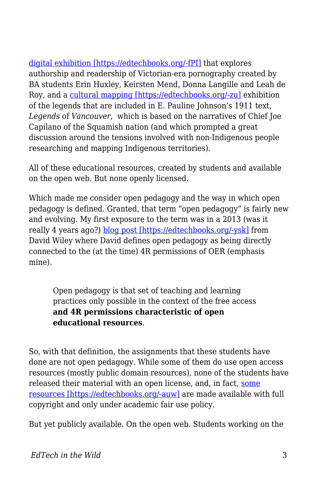[digital exhibition \[https://edtechbooks.org/-fPI\]](https://victorianauthorshipandreadership.wordpress.com/) that explores authorship and readership of Victorian-era pornography created by BA students Erin Huxley, Keirsten Mend, Donna Langille and Leah de Roy, and a [cultural mapping \[https://edtechbooks.org/-zu\]](http://simonfraseru.maps.arcgis.com/apps/MapJournal/index.html?appid=df23c82c36eb489d83e3c086264e1668) exhibition of the legends that are included in E. Pauline Johnson's 1911 text, *Legends* of *Vancouver*, which is based on the narratives of Chief Joe Capilano of the Squamish nation (and which prompted a great discussion around the tensions involved with non-Indigenous people researching and mapping Indigenous territories).

All of these educational resources, created by students and available on the open web. But none openly licensed.

Which made me consider open pedagogy and the way in which open pedagogy is defined. Granted, that term "open pedagogy" is fairly new and evolving. My first exposure to the term was in a 2013 (was it really 4 years ago?) [blog post \[https://edtechbooks.org/-ysk\]](https://opencontent.org/blog/archives/2975) from David Wiley where David defines open pedagogy as being directly connected to the (at the time) 4R permissions of OER (emphasis mine).

Open pedagogy is that set of teaching and learning practices only possible in the context of the free access **and 4R permissions characteristic of open educational resources**.

So, with that definition, the assignments that these students have done are not open pedagogy. While some of them do use open access resources (mostly public domain resources), none of the students have released their material with an open license, and, in fact, [some](http://www.fredwah.ca/content/acknowledgements) [resources \[https://edtechbooks.org/-auw\]](http://www.fredwah.ca/content/acknowledgements) are made available with full copyright and only under academic fair use policy.

But yet publicly available. On the open web. Students working on the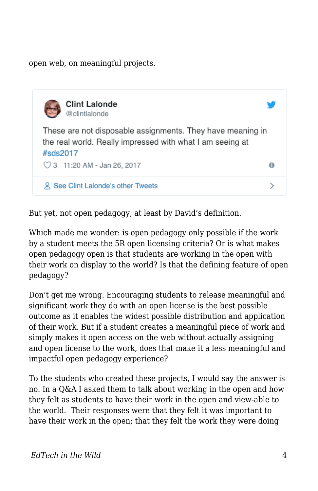open web, on meaningful projects.



But yet, not open pedagogy, at least by David's definition.

Which made me wonder: is open pedagogy only possible if the work by a student meets the 5R open licensing criteria? Or is what makes open pedagogy open is that students are working in the open with their work on display to the world? Is that the defining feature of open pedagogy?

Don't get me wrong. Encouraging students to release meaningful and significant work they do with an open license is the best possible outcome as it enables the widest possible distribution and application of their work. But if a student creates a meaningful piece of work and simply makes it open access on the web without actually assigning and open license to the work, does that make it a less meaningful and impactful open pedagogy experience?

To the students who created these projects, I would say the answer is no. In a Q&A I asked them to talk about working in the open and how they felt as students to have their work in the open and view-able to the world. Their responses were that they felt it was important to have their work in the open; that they felt the work they were doing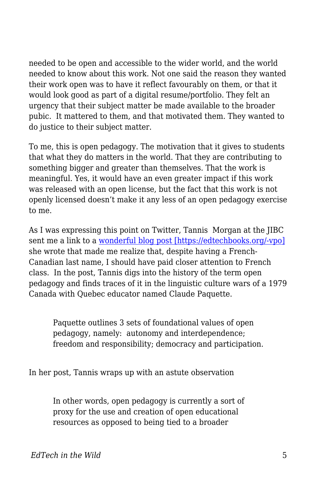needed to be open and accessible to the wider world, and the world needed to know about this work. Not one said the reason they wanted their work open was to have it reflect favourably on them, or that it would look good as part of a digital resume/portfolio. They felt an urgency that their subject matter be made available to the broader pubic. It mattered to them, and that motivated them. They wanted to do justice to their subject matter.

To me, this is open pedagogy. The motivation that it gives to students that what they do matters in the world. That they are contributing to something bigger and greater than themselves. That the work is meaningful. Yes, it would have an even greater impact if this work was released with an open license, but the fact that this work is not openly licensed doesn't make it any less of an open pedagogy exercise to me.

As I was expressing this point on Twitter, Tannis Morgan at the JIBC sent me a link to a [wonderful blog post \[https://edtechbooks.org/-vpo\]](https://homonym.ca/uncategorized/open-pedagogy-and-a-very-brief-history-of-the-concept/) she wrote that made me realize that, despite having a French-Canadian last name, I should have paid closer attention to French class. In the post, Tannis digs into the history of the term open pedagogy and finds traces of it in the linguistic culture wars of a 1979 Canada with Quebec educator named Claude Paquette.

Paquette outlines 3 sets of foundational values of open pedagogy, namely: autonomy and interdependence; freedom and responsibility; democracy and participation.

In her post, Tannis wraps up with an astute observation

In other words, open pedagogy is currently a sort of proxy for the use and creation of open educational resources as opposed to being tied to a broader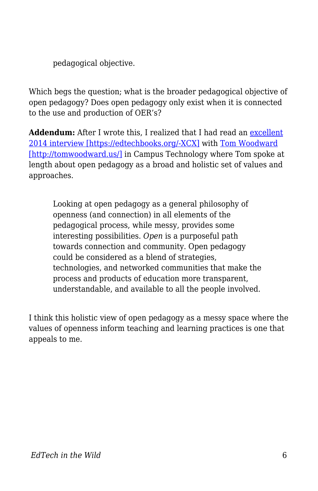pedagogical objective.

Which begs the question; what is the broader pedagogical objective of open pedagogy? Does open pedagogy only exist when it is connected to the use and production of OER's?

**Addendum:** After I wrote this, I realized that I had read an [excellent](https://campustechnology.com/Articles/2014/11/12/Open-Pedagogy-Connection-Community-and-Transparency.aspx?Page=1) [2014 interview \[https://edtechbooks.org/-XCX\]](https://campustechnology.com/Articles/2014/11/12/Open-Pedagogy-Connection-Community-and-Transparency.aspx?Page=1) with [Tom Woodward](http://tomwoodward.us/) [\[http://tomwoodward.us/\]](http://tomwoodward.us/) in Campus Technology where Tom spoke at length about open pedagogy as a broad and holistic set of values and approaches.

Looking at open pedagogy as a general philosophy of openness (and connection) in all elements of the pedagogical process, while messy, provides some interesting possibilities. *Open* is a purposeful path towards connection and community. Open pedagogy could be considered as a blend of strategies, technologies, and networked communities that make the process and products of education more transparent, understandable, and available to all the people involved.

I think this holistic view of open pedagogy as a messy space where the values of openness inform teaching and learning practices is one that appeals to me.